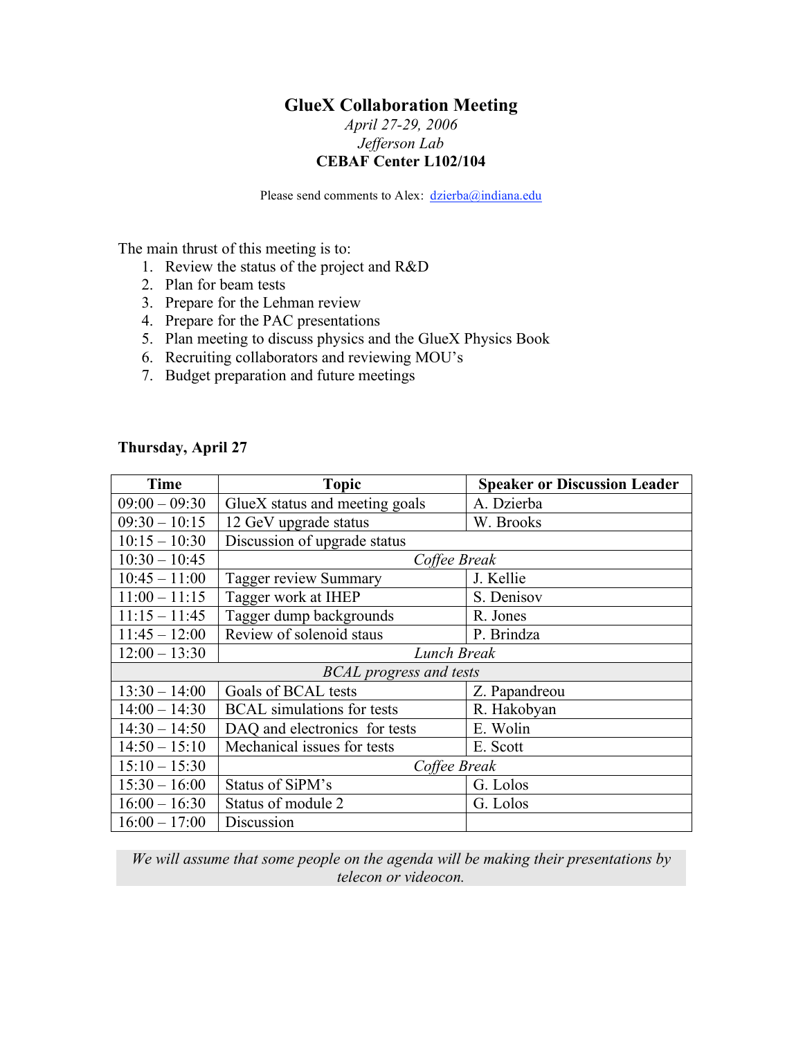## **GlueX Collaboration Meeting**

## *April 27-29, 2006 Jefferson Lab* **CEBAF Center L102/104**

Please send comments to Alex: dzierba@indiana.edu

The main thrust of this meeting is to:

- 1. Review the status of the project and R&D
- 2. Plan for beam tests
- 3. Prepare for the Lehman review
- 4. Prepare for the PAC presentations
- 5. Plan meeting to discuss physics and the GlueX Physics Book
- 6. Recruiting collaborators and reviewing MOU's
- 7. Budget preparation and future meetings

| Time                           | <b>Topic</b>                      | <b>Speaker or Discussion Leader</b> |  |
|--------------------------------|-----------------------------------|-------------------------------------|--|
| $09:00 - 09:30$                | GlueX status and meeting goals    | A. Dzierba                          |  |
| $09:30 - 10:15$                | 12 GeV upgrade status             | W. Brooks                           |  |
| $10:15 - 10:30$                | Discussion of upgrade status      |                                     |  |
| $10:30 - 10:45$                | Coffee Break                      |                                     |  |
| $10:45 - 11:00$                | <b>Tagger review Summary</b>      | J. Kellie                           |  |
| $11:00 - 11:15$                | Tagger work at IHEP               | S. Denisov                          |  |
| $11:15 - 11:45$                | Tagger dump backgrounds           | R. Jones                            |  |
| $11:45 - 12:00$                | Review of solenoid staus          | P. Brindza                          |  |
| $12:00 - 13:30$                | Lunch Break                       |                                     |  |
| <b>BCAL</b> progress and tests |                                   |                                     |  |
| $13:30 - 14:00$                | Goals of BCAL tests               | Z. Papandreou                       |  |
| $14:00 - 14:30$                | <b>BCAL</b> simulations for tests | R. Hakobyan                         |  |
| $14:30 - 14:50$                | DAQ and electronics for tests     | E. Wolin                            |  |
| $14:50 - 15:10$                | Mechanical issues for tests       | E. Scott                            |  |
| $15:10 - 15:30$                | Coffee Break                      |                                     |  |
| $15:30 - 16:00$                | Status of SiPM's                  | G. Lolos                            |  |
| $16:00 - 16:30$                | Status of module 2                | G. Lolos                            |  |
| $16:00 - 17:00$                | Discussion                        |                                     |  |

*We will assume that some people on the agenda will be making their presentations by telecon or videocon.*